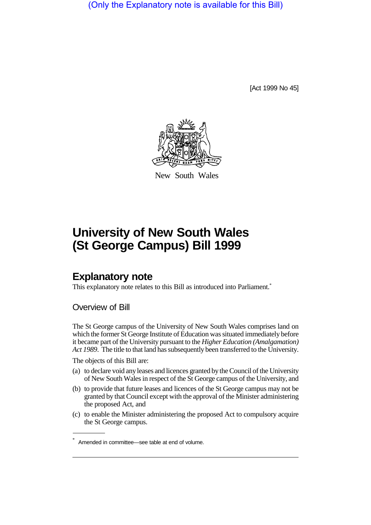(Only the Explanatory note is available for this Bill)

[Act 1999 No 45]



New South Wales

## **University of New South Wales (St George Campus) Bill 1999**

## **Explanatory note**

This explanatory note relates to this Bill as introduced into Parliament.<sup>\*</sup>

Overview of Bill

The St George campus of the University of New South Wales comprises land on which the former St George Institute of Education was situated immediately before it became part of the University pursuant to the *Higher Education (Amalgamation) Act 1989*. The title to that land has subsequently been transferred to the University.

The objects of this Bill are:

- (a) to declare void any leases and licences granted by the Council of the University of New South Wales in respect of the St George campus of the University, and
- (b) to provide that future leases and licences of the St George campus may not be granted by that Council except with the approval of the Minister administering the proposed Act, and
- (c) to enable the Minister administering the proposed Act to compulsory acquire the St George campus.

<sup>\*</sup> Amended in committee—see table at end of volume.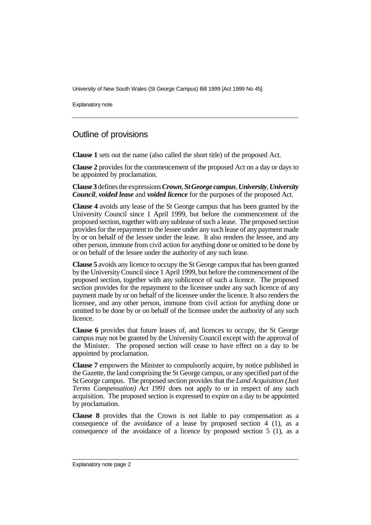University of New South Wales (St George Campus) Bill 1999 [Act 1999 No 45]

Explanatory note

## Outline of provisions

**Clause 1** sets out the name (also called the short title) of the proposed Act.

**Clause 2** provides for the commencement of the proposed Act on a day or days to be appointed by proclamation.

## **Clause 3** defines the expressions *Crown*, *St George campus*, *University*, *University Council*, *voided lease* and *voided licence* for the purposes of the proposed Act.

**Clause 4** avoids any lease of the St George campus that has been granted by the University Council since 1 April 1999, but before the commencement of the proposed section, together with any sublease of such a lease. The proposed section provides for the repayment to the lessee under any such lease of any payment made by or on behalf of the lessee under the lease. It also renders the lessee, and any other person, immune from civil action for anything done or omitted to be done by or on behalf of the lessee under the authority of any such lease.

**Clause 5** avoids any licence to occupy the St George campus that has been granted by the University Council since 1 April 1999, but before the commencement of the proposed section, together with any sublicence of such a licence. The proposed section provides for the repayment to the licensee under any such licence of any payment made by or on behalf of the licensee under the licence. It also renders the licensee, and any other person, immune from civil action for anything done or omitted to be done by or on behalf of the licensee under the authority of any such licence.

**Clause 6** provides that future leases of, and licences to occupy, the St George campus may not be granted by the University Council except with the approval of the Minister. The proposed section will cease to have effect on a day to be appointed by proclamation.

**Clause 7** empowers the Minister to compulsorily acquire, by notice published in the Gazette, the land comprising the St George campus, or any specified part of the St George campus. The proposed section provides that the *Land Acquisition (Just Terms Compensation) Act 1991* does not apply to or in respect of any such acquisition. The proposed section is expressed to expire on a day to be appointed by proclamation.

**Clause 8** provides that the Crown is not liable to pay compensation as a consequence of the avoidance of a lease by proposed section 4 (1), as a consequence of the avoidance of a licence by proposed section 5 (1), as a